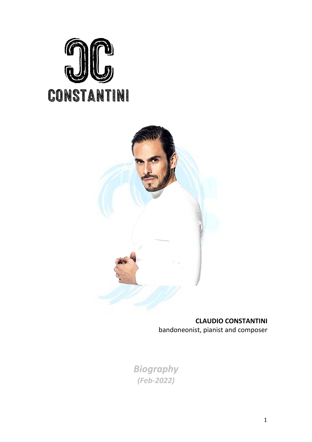



# **CLAUDIO CONSTANTINI**

bandoneonist, pianist and composer

*Biography (Feb-2022)*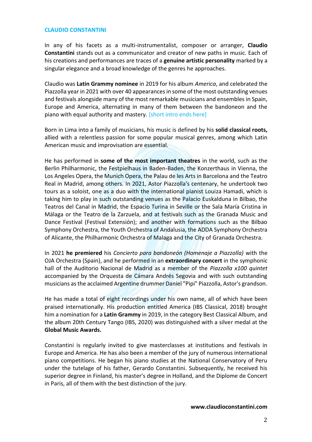#### **CLAUDIO CONSTANTINI**

In any of his facets as a multi-instrumentalist, composer or arranger, **Claudio Constantini** stands out as a communicator and creator of new paths in music. Each of his creations and performances are traces of a **genuine artistic personality** marked by a singular elegance and a broad knowledge of the genres he approaches.

Claudio was **Latin Grammy nominee** in 2019 for his album *America*, and celebrated the Piazzolla year in 2021 with over 40 appearances in some of the most outstanding venues and festivals alongside many of the most remarkable musicians and ensembles in Spain, Europe and America, alternating in many of them between the bandoneon and the piano with equal authority and mastery. [short intro ends here]

Born in Lima into a family of musicians, his music is defined by his **solid classical roots,** allied with a relentless passion for some popular musical genres, among which Latin American music and improvisation are essential.

He has performed in **some of the most important theatres** in the world, such as the Berlin Philharmonic, the Festpielhaus in Baden-Baden, the Konzerthaus in Vienna, the Los Angeles Opera, the Munich Opera, the Palau de les Arts in Barcelona and the Teatro Real in Madrid, among others. In 2021, Astor Piazzolla's centenary, he undertook two tours as a soloist, one as a duo with the international pianist Louiza Hamadi, which is taking him to play in such outstanding venues as the Palacio Euskalduna in Bilbao, the Teatros del Canal in Madrid, the Espacio Turina in Seville or the Sala María Cristina in Málaga or the Teatro de la Zarzuela, and at festivals such as the Granada Music and Dance Festival (Festival Extensión); and another with formations such as the Bilbao Symphony Orchestra, the Youth Orchestra of Andalusia, the ADDA Symphony Orchestra of Alicante, the Philharmonic Orchestra of Malaga and the City of Granada Orchestra.

In 2021 **he premiered** his *Concierto para bandoneón (Homenaje a Piazzolla)* with the OJA Orchestra (Spain), and he performed in an **extraordinary concert** in the symphonic hall of the Auditorio Nacional de Madrid as a member of the *Piazzolla x100 quintet* accompanied by the Orquesta de Cámara Andrés Segovia and with such outstanding musicians as the acclaimed Argentine drummer Daniel "Pipi" Piazzolla, Astor's grandson.

He has made a total of eight recordings under his own name, all of which have been praised internationally. His production entitled America (IBS Classical, 2018) brought him a nomination for a **Latin Grammy** in 2019, in the category Best Classical Album, and the album 20th Century Tango (IBS, 2020) was distinguished with a silver medal at the **Global Music Awards.**

Constantini is regularly invited to give masterclasses at institutions and festivals in Europe and America. He has also been a member of the jury of numerous international piano competitions. He began his piano studies at the National Conservatory of Peru under the tutelage of his father, Gerardo Constantini. Subsequently, he received his superior degree in Finland, his master's degree in Holland, and the Diplome de Concert in Paris, all of them with the best distinction of the jury.

#### **[www.claudioconstantini.com](http://www.claudioconstantini.com/)**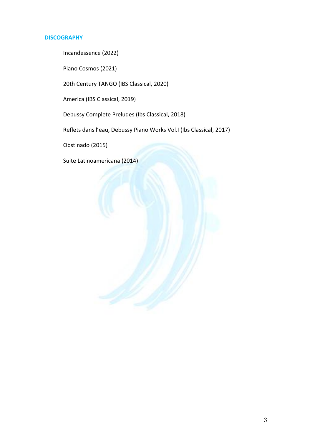### **DISCOGRAPHY**

Incandessence (2022)

Piano Cosmos (2021)

20th Century TANGO (IBS Classical, 2020)

America (IBS Classical, 2019)

Debussy Complete Preludes (Ibs Classical, 2018)

Reflets dans l'eau, Debussy Piano Works Vol.I (Ibs Classical, 2017)

Obstinado (2015)

Suite Latinoamericana (2014)